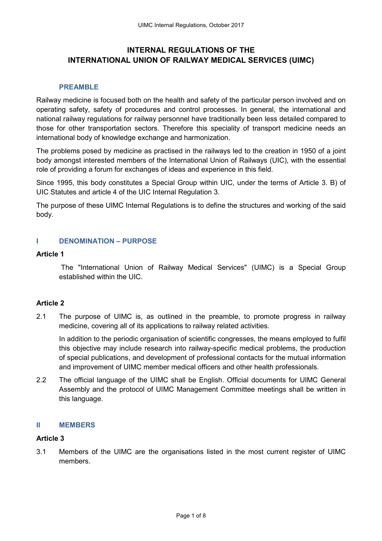# **INTERNAL REGULATIONS OF THE INTERNATIONAL UNION OF RAILWAY MEDICAL SERVICES (UIMC)**

### **PREAMBLE**

Railway medicine is focused both on the health and safety of the particular person involved and on operating safety, safety of procedures and control processes. In general, the international and national railway regulations for railway personnel have traditionally been less detailed compared to those for other transportation sectors. Therefore this speciality of transport medicine needs an international body of knowledge exchange and harmonization.

The problems posed by medicine as practised in the railways led to the creation in 1950 of a joint body amongst interested members of the International Union of Railways (UIC), with the essential role of providing a forum for exchanges of ideas and experience in this field.

Since 1995, this body constitutes a Special Group within UIC, under the terms of Article 3. B) of UIC Statutes and article 4 of the UIC Internal Regulation 3.

The purpose of these UIMC Internal Regulations is to define the structures and working of the said body.

### **I DENOMINATION – PURPOSE**

#### **Article 1**

 The "International Union of Railway Medical Services" (UIMC) is a Special Group established within the UIC.

## **Article 2**

2.1 The purpose of UIMC is, as outlined in the preamble, to promote progress in railway medicine, covering all of its applications to railway related activities.

In addition to the periodic organisation of scientific congresses, the means employed to fulfil this objective may include research into railway-specific medical problems, the production of special publications, and development of professional contacts for the mutual information and improvement of UIMC member medical officers and other health professionals.

2.2 The official language of the UIMC shall be English. Official documents for UIMC General Assembly and the protocol of UIMC Management Committee meetings shall be written in this language.

#### **II MEMBERS**

#### **Article 3**

3.1 Members of the UIMC are the organisations listed in the most current register of UIMC members.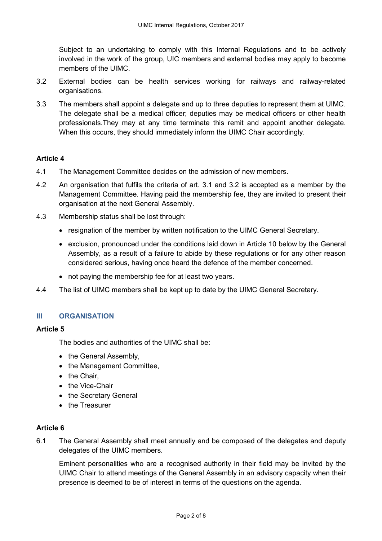Subject to an undertaking to comply with this Internal Regulations and to be actively involved in the work of the group, UIC members and external bodies may apply to become members of the UIMC.

- 3.2 External bodies can be health services working for railways and railway-related organisations.
- 3.3 The members shall appoint a delegate and up to three deputies to represent them at UIMC. The delegate shall be a medical officer; deputies may be medical officers or other health professionals.They may at any time terminate this remit and appoint another delegate. When this occurs, they should immediately inform the UIMC Chair accordingly.

## **Article 4**

- 4.1 The Management Committee decides on the admission of new members.
- 4.2 An organisation that fulfils the criteria of art. 3.1 and 3.2 is accepted as a member by the Management Committee. Having paid the membership fee, they are invited to present their organisation at the next General Assembly.
- 4.3 Membership status shall be lost through:
	- resignation of the member by written notification to the UIMC General Secretary.
	- exclusion, pronounced under the conditions laid down in Article 10 below by the General Assembly, as a result of a failure to abide by these regulations or for any other reason considered serious, having once heard the defence of the member concerned.
	- not paying the membership fee for at least two years.
- 4.4 The list of UIMC members shall be kept up to date by the UIMC General Secretary.

## **III ORGANISATION**

## **Article 5**

The bodies and authorities of the UIMC shall be:

- the General Assembly,
- the Management Committee,
- the Chair.
- the Vice-Chair
- the Secretary General
- the Treasurer

## **Article 6**

6.1 The General Assembly shall meet annually and be composed of the delegates and deputy delegates of the UIMC members.

 Eminent personalities who are a recognised authority in their field may be invited by the UIMC Chair to attend meetings of the General Assembly in an advisory capacity when their presence is deemed to be of interest in terms of the questions on the agenda.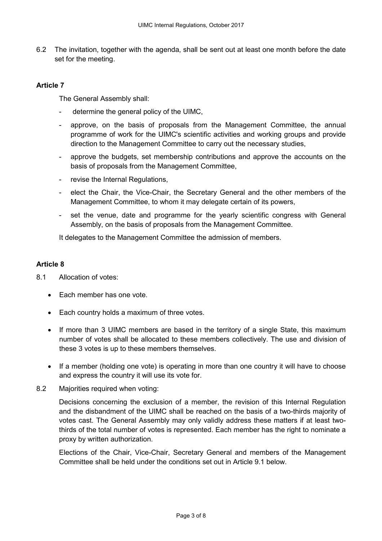6.2 The invitation, together with the agenda, shall be sent out at least one month before the date set for the meeting.

## **Article 7**

The General Assembly shall:

- determine the general policy of the UIMC,
- approve, on the basis of proposals from the Management Committee, the annual programme of work for the UIMC's scientific activities and working groups and provide direction to the Management Committee to carry out the necessary studies,
- approve the budgets, set membership contributions and approve the accounts on the basis of proposals from the Management Committee,
- revise the Internal Regulations,
- elect the Chair, the Vice-Chair, the Secretary General and the other members of the Management Committee, to whom it may delegate certain of its powers,
- set the venue, date and programme for the yearly scientific congress with General Assembly, on the basis of proposals from the Management Committee.

It delegates to the Management Committee the admission of members.

## **Article 8**

- 8.1 Allocation of votes:
	- Each member has one vote.
	- Each country holds a maximum of three votes.
	- If more than 3 UIMC members are based in the territory of a single State, this maximum number of votes shall be allocated to these members collectively. The use and division of these 3 votes is up to these members themselves.
	- If a member (holding one vote) is operating in more than one country it will have to choose and express the country it will use its vote for.
- 8.2 Majorities required when voting:

 Decisions concerning the exclusion of a member, the revision of this Internal Regulation and the disbandment of the UIMC shall be reached on the basis of a two-thirds majority of votes cast. The General Assembly may only validly address these matters if at least twothirds of the total number of votes is represented. Each member has the right to nominate a proxy by written authorization.

Elections of the Chair, Vice-Chair, Secretary General and members of the Management Committee shall be held under the conditions set out in Article 9.1 below.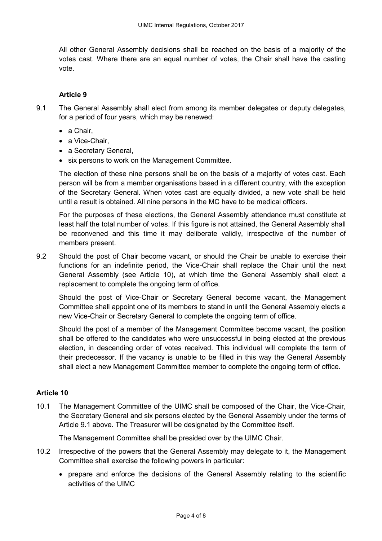All other General Assembly decisions shall be reached on the basis of a majority of the votes cast. Where there are an equal number of votes, the Chair shall have the casting vote.

## **Article 9**

- 9.1 The General Assembly shall elect from among its member delegates or deputy delegates, for a period of four years, which may be renewed:
	- a Chair.
	- a Vice-Chair,
	- a Secretary General,
	- six persons to work on the Management Committee.

The election of these nine persons shall be on the basis of a majority of votes cast. Each person will be from a member organisations based in a different country, with the exception of the Secretary General. When votes cast are equally divided, a new vote shall be held until a result is obtained. All nine persons in the MC have to be medical officers.

For the purposes of these elections, the General Assembly attendance must constitute at least half the total number of votes. If this figure is not attained, the General Assembly shall be reconvened and this time it may deliberate validly, irrespective of the number of members present.

9.2 Should the post of Chair become vacant, or should the Chair be unable to exercise their functions for an indefinite period, the Vice-Chair shall replace the Chair until the next General Assembly (see Article 10), at which time the General Assembly shall elect a replacement to complete the ongoing term of office.

Should the post of Vice-Chair or Secretary General become vacant, the Management Committee shall appoint one of its members to stand in until the General Assembly elects a new Vice-Chair or Secretary General to complete the ongoing term of office.

Should the post of a member of the Management Committee become vacant, the position shall be offered to the candidates who were unsuccessful in being elected at the previous election, in descending order of votes received. This individual will complete the term of their predecessor. If the vacancy is unable to be filled in this way the General Assembly shall elect a new Management Committee member to complete the ongoing term of office.

## **Article 10**

10.1 The Management Committee of the UIMC shall be composed of the Chair, the Vice-Chair, the Secretary General and six persons elected by the General Assembly under the terms of Article 9.1 above. The Treasurer will be designated by the Committee itself.

The Management Committee shall be presided over by the UIMC Chair.

- 10.2 Irrespective of the powers that the General Assembly may delegate to it, the Management Committee shall exercise the following powers in particular:
	- prepare and enforce the decisions of the General Assembly relating to the scientific activities of the UIMC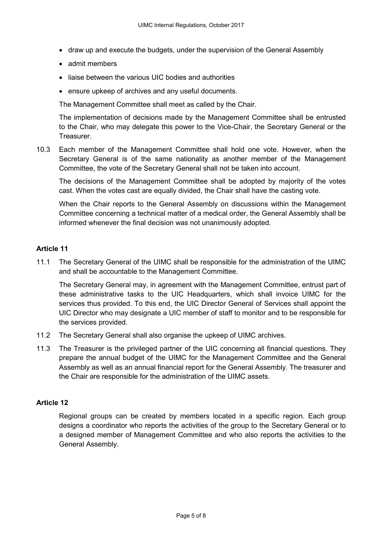- draw up and execute the budgets, under the supervision of the General Assembly
- admit members
- liaise between the various UIC bodies and authorities
- ensure upkeep of archives and any useful documents.

The Management Committee shall meet as called by the Chair.

The implementation of decisions made by the Management Committee shall be entrusted to the Chair, who may delegate this power to the Vice-Chair, the Secretary General or the Treasurer.

10.3 Each member of the Management Committee shall hold one vote. However, when the Secretary General is of the same nationality as another member of the Management Committee, the vote of the Secretary General shall not be taken into account.

The decisions of the Management Committee shall be adopted by majority of the votes cast. When the votes cast are equally divided, the Chair shall have the casting vote.

When the Chair reports to the General Assembly on discussions within the Management Committee concerning a technical matter of a medical order, the General Assembly shall be informed whenever the final decision was not unanimously adopted.

## **Article 11**

11.1 The Secretary General of the UIMC shall be responsible for the administration of the UIMC and shall be accountable to the Management Committee.

The Secretary General may, in agreement with the Management Committee, entrust part of these administrative tasks to the UIC Headquarters, which shall invoice UIMC for the services thus provided. To this end, the UIC Director General of Services shall appoint the UIC Director who may designate a UIC member of staff to monitor and to be responsible for the services provided.

- 11.2 The Secretary General shall also organise the upkeep of UIMC archives.
- 11.3 The Treasurer is the privileged partner of the UIC concerning all financial questions. They prepare the annual budget of the UIMC for the Management Committee and the General Assembly as well as an annual financial report for the General Assembly. The treasurer and the Chair are responsible for the administration of the UIMC assets.

## **Article 12**

Regional groups can be created by members located in a specific region. Each group designs a coordinator who reports the activities of the group to the Secretary General or to a designed member of Management Committee and who also reports the activities to the General Assembly.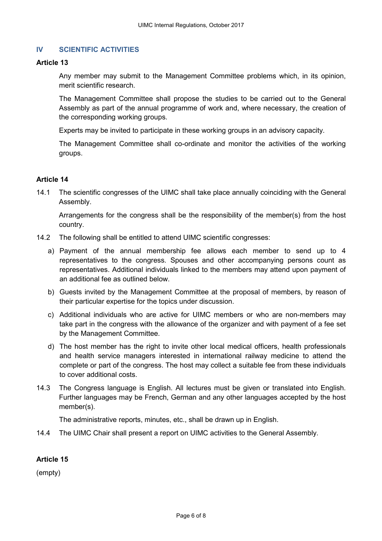## **IV SCIENTIFIC ACTIVITIES**

### **Article 13**

Any member may submit to the Management Committee problems which, in its opinion, merit scientific research.

The Management Committee shall propose the studies to be carried out to the General Assembly as part of the annual programme of work and, where necessary, the creation of the corresponding working groups.

Experts may be invited to participate in these working groups in an advisory capacity.

The Management Committee shall co-ordinate and monitor the activities of the working groups.

## **Article 14**

14.1 The scientific congresses of the UIMC shall take place annually coinciding with the General Assembly.

Arrangements for the congress shall be the responsibility of the member(s) from the host country.

- 14.2 The following shall be entitled to attend UIMC scientific congresses:
	- a) Payment of the annual membership fee allows each member to send up to 4 representatives to the congress. Spouses and other accompanying persons count as representatives. Additional individuals linked to the members may attend upon payment of an additional fee as outlined below.
	- b) Guests invited by the Management Committee at the proposal of members, by reason of their particular expertise for the topics under discussion.
	- c) Additional individuals who are active for UIMC members or who are non-members may take part in the congress with the allowance of the organizer and with payment of a fee set by the Management Committee.
	- d) The host member has the right to invite other local medical officers, health professionals and health service managers interested in international railway medicine to attend the complete or part of the congress. The host may collect a suitable fee from these individuals to cover additional costs.
- 14.3 The Congress language is English. All lectures must be given or translated into English. Further languages may be French, German and any other languages accepted by the host member(s).

The administrative reports, minutes, etc., shall be drawn up in English.

14.4 The UIMC Chair shall present a report on UIMC activities to the General Assembly.

## **Article 15**

(empty)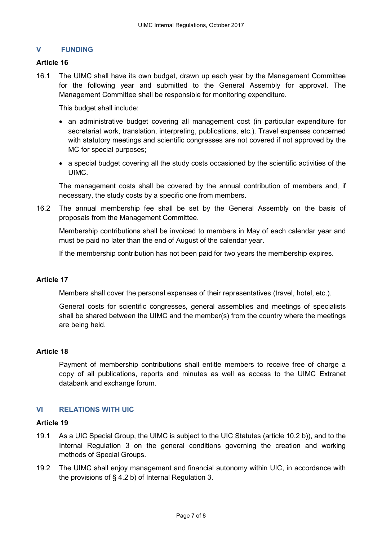## **V FUNDING**

### **Article 16**

16.1 The UIMC shall have its own budget, drawn up each year by the Management Committee for the following year and submitted to the General Assembly for approval. The Management Committee shall be responsible for monitoring expenditure.

This budget shall include:

- an administrative budget covering all management cost (in particular expenditure for secretariat work, translation, interpreting, publications, etc.). Travel expenses concerned with statutory meetings and scientific congresses are not covered if not approved by the MC for special purposes;
- a special budget covering all the study costs occasioned by the scientific activities of the UIMC.

The management costs shall be covered by the annual contribution of members and, if necessary, the study costs by a specific one from members.

16.2 The annual membership fee shall be set by the General Assembly on the basis of proposals from the Management Committee.

Membership contributions shall be invoiced to members in May of each calendar year and must be paid no later than the end of August of the calendar year.

If the membership contribution has not been paid for two years the membership expires.

## **Article 17**

Members shall cover the personal expenses of their representatives (travel, hotel, etc.).

General costs for scientific congresses, general assemblies and meetings of specialists shall be shared between the UIMC and the member(s) from the country where the meetings are being held.

### **Article 18**

Payment of membership contributions shall entitle members to receive free of charge a copy of all publications, reports and minutes as well as access to the UIMC Extranet databank and exchange forum.

## **VI RELATIONS WITH UIC**

## **Article 19**

- 19.1 As a UIC Special Group, the UIMC is subject to the UIC Statutes (article 10.2 b)), and to the Internal Regulation 3 on the general conditions governing the creation and working methods of Special Groups.
- 19.2 The UIMC shall enjoy management and financial autonomy within UIC, in accordance with the provisions of § 4.2 b) of Internal Regulation 3.